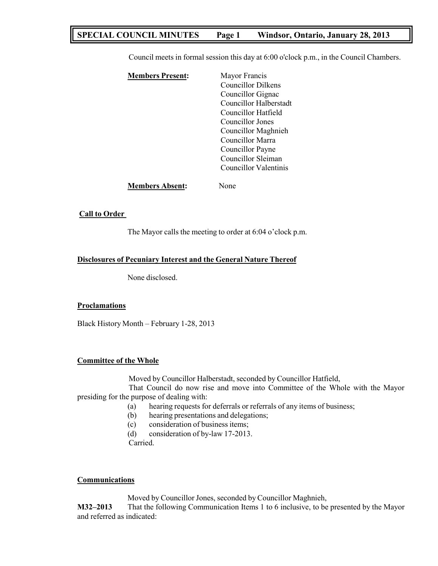## **SPECIAL COUNCIL MINUTES Page 1 Windsor, Ontario, January 28, 2013**

Council meets in formal session this day at 6:00 o'clock p.m., in the Council Chambers.

| <b>Members Present:</b> | Mayor Francis             |
|-------------------------|---------------------------|
|                         | <b>Councillor Dilkens</b> |
|                         | Councillor Gignac         |
|                         | Councillor Halberstadt    |
|                         | Councillor Hatfield       |
|                         | Councillor Jones          |
|                         | Councillor Maghnieh       |
|                         | Councillor Marra          |
|                         | Councillor Payne          |
|                         | Councillor Sleiman        |
|                         | Councillor Valentinis     |
|                         |                           |

**Members Absent:** None

## **Call to Order**

The Mayor calls the meeting to order at 6:04 o'clock p.m.

## **Disclosures of Pecuniary Interest and the General Nature Thereof**

None disclosed.

#### **Proclamations**

Black History Month – February 1-28, 2013

## **Committee of the Whole**

Moved by Councillor Halberstadt, seconded by Councillor Hatfield,

That Council do now rise and move into Committee of the Whole with the Mayor presiding for the purpose of dealing with:

- (a) hearing requests for deferrals or referrals of any items of business;
- (b) hearing presentations and delegations;
- (c) consideration of business items;

(d) consideration of by-law 17-2013.

Carried.

## **Communications**

Moved by Councillor Jones, seconded by Councillor Maghnieh,

**M32–2013** That the following Communication Items 1 to 6 inclusive, to be presented by the Mayor and referred as indicated: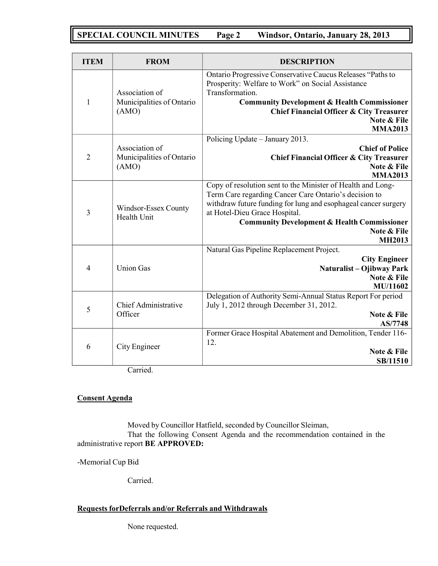# **SPECIAL COUNCIL MINUTES Page 2 Windsor, Ontario, January 28, 2013**

| <b>ITEM</b>              | <b>FROM</b>                                          | <b>DESCRIPTION</b>                                                                                                                                                                                                                                                                                                |  |
|--------------------------|------------------------------------------------------|-------------------------------------------------------------------------------------------------------------------------------------------------------------------------------------------------------------------------------------------------------------------------------------------------------------------|--|
| $\mathbf{1}$             | Association of<br>Municipalities of Ontario<br>(AMO) | Ontario Progressive Conservative Caucus Releases "Paths to<br>Prosperity: Welfare to Work" on Social Assistance<br>Transformation.<br><b>Community Development &amp; Health Commissioner</b><br><b>Chief Financial Officer &amp; City Treasurer</b><br>Note & File                                                |  |
| $\overline{2}$           | Association of<br>Municipalities of Ontario<br>(AMO) | <b>MMA2013</b><br>Policing Update - January 2013.<br><b>Chief of Police</b><br><b>Chief Financial Officer &amp; City Treasurer</b><br>Note & File<br><b>MMA2013</b>                                                                                                                                               |  |
| 3                        | Windsor-Essex County<br>Health Unit                  | Copy of resolution sent to the Minister of Health and Long-<br>Term Care regarding Cancer Care Ontario's decision to<br>withdraw future funding for lung and esophageal cancer surgery<br>at Hotel-Dieu Grace Hospital.<br><b>Community Development &amp; Health Commissioner</b><br>Note & File<br><b>MH2013</b> |  |
| $\overline{\mathcal{A}}$ | <b>Union Gas</b>                                     | Natural Gas Pipeline Replacement Project.<br><b>City Engineer</b><br>Naturalist – Ojibway Park<br>Note & File<br>MU/11602                                                                                                                                                                                         |  |
| 5                        | Chief Administrative<br>Officer                      | Delegation of Authority Semi-Annual Status Report For period<br>July 1, 2012 through December 31, 2012.<br>Note & File<br>AS/7748                                                                                                                                                                                 |  |
| 6                        | City Engineer                                        | Former Grace Hospital Abatement and Demolition, Tender 116-<br>12.<br>Note & File<br>SB/11510                                                                                                                                                                                                                     |  |

Carried.

## **Consent Agenda**

Moved by Councillor Hatfield, seconded by Councillor Sleiman,

That the following Consent Agenda and the recommendation contained in the administrative report **BE APPROVED:**

-Memorial Cup Bid

Carried.

## **Requests forDeferrals and/or Referrals and Withdrawals**

None requested.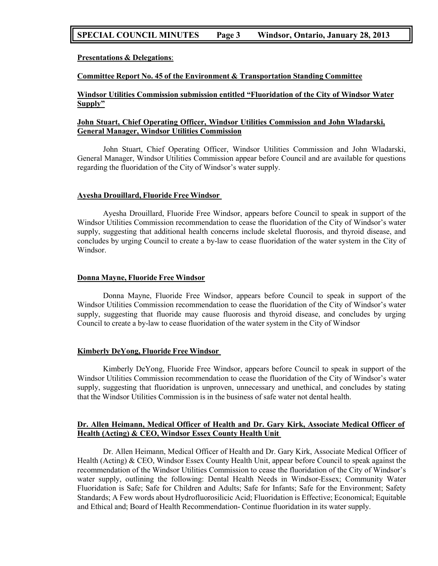## **SPECIAL COUNCIL MINUTES Page 3 Windsor, Ontario, January 28, 2013**

**Presentations & Delegations**:

#### **Committee Report No. 45 of the Environment & Transportation Standing Committee**

**Windsor Utilities Commission submission entitled "Fluoridation of the City of Windsor Water Supply"**

### **John Stuart, Chief Operating Officer, Windsor Utilities Commission and John Wladarski, General Manager, Windsor Utilities Commission**

John Stuart, Chief Operating Officer, Windsor Utilities Commission and John Wladarski, General Manager, Windsor Utilities Commission appear before Council and are available for questions regarding the fluoridation of the City of Windsor's water supply.

#### **Ayesha Drouillard, Fluoride Free Windsor**

Ayesha Drouillard, Fluoride Free Windsor, appears before Council to speak in support of the Windsor Utilities Commission recommendation to cease the fluoridation of the City of Windsor's water supply, suggesting that additional health concerns include skeletal fluorosis, and thyroid disease, and concludes by urging Council to create a by-law to cease fluoridation of the water system in the City of Windsor.

#### **Donna Mayne, Fluoride Free Windsor**

Donna Mayne, Fluoride Free Windsor, appears before Council to speak in support of the Windsor Utilities Commission recommendation to cease the fluoridation of the City of Windsor's water supply, suggesting that fluoride may cause fluorosis and thyroid disease, and concludes by urging Council to create a by-law to cease fluoridation of the water system in the City of Windsor

#### **Kimberly DeYong, Fluoride Free Windsor**

Kimberly DeYong, Fluoride Free Windsor, appears before Council to speak in support of the Windsor Utilities Commission recommendation to cease the fluoridation of the City of Windsor's water supply, suggesting that fluoridation is unproven, unnecessary and unethical, and concludes by stating that the Windsor Utilities Commission is in the business of safe water not dental health.

#### **Dr. Allen Heimann, Medical Officer of Health and Dr. Gary Kirk, Associate Medical Officer of Health (Acting) & CEO, Windsor Essex County Health Unit**

Dr. Allen Heimann, Medical Officer of Health and Dr. Gary Kirk, Associate Medical Officer of Health (Acting) & CEO, Windsor Essex County Health Unit, appear before Council to speak against the recommendation of the Windsor Utilities Commission to cease the fluoridation of the City of Windsor's water supply, outlining the following: Dental Health Needs in Windsor-Essex; Community Water Fluoridation is Safe; Safe for Children and Adults; Safe for Infants; Safe for the Environment; Safety Standards; A Few words about Hydrofluorosilicic Acid; Fluoridation is Effective; Economical; Equitable and Ethical and; Board of Health Recommendation- Continue fluoridation in its water supply.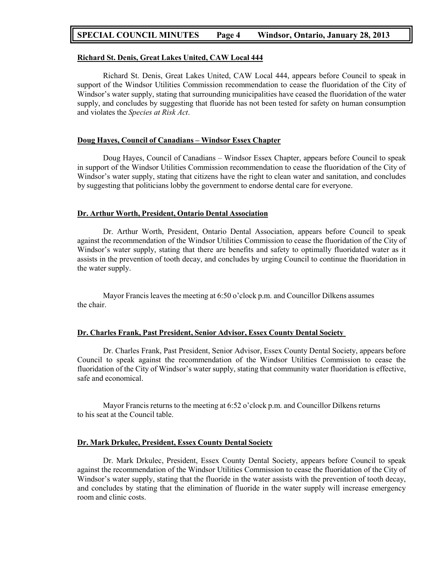## **SPECIAL COUNCIL MINUTES Page 4 Windsor, Ontario, January 28, 2013**

#### **Richard St. Denis, Great Lakes United, CAW Local 444**

Richard St. Denis, Great Lakes United, CAW Local 444, appears before Council to speak in support of the Windsor Utilities Commission recommendation to cease the fluoridation of the City of Windsor's water supply, stating that surrounding municipalities have ceased the fluoridation of the water supply, and concludes by suggesting that fluoride has not been tested for safety on human consumption and violates the *Species at Risk Act*.

#### **Doug Hayes, Council of Canadians – Windsor Essex Chapter**

Doug Hayes, Council of Canadians – Windsor Essex Chapter, appears before Council to speak in support of the Windsor Utilities Commission recommendation to cease the fluoridation of the City of Windsor's water supply, stating that citizens have the right to clean water and sanitation, and concludes by suggesting that politicians lobby the government to endorse dental care for everyone.

#### **Dr. Arthur Worth, President, Ontario Dental Association**

Dr. Arthur Worth, President, Ontario Dental Association, appears before Council to speak against the recommendation of the Windsor Utilities Commission to cease the fluoridation of the City of Windsor's water supply, stating that there are benefits and safety to optimally fluoridated water as it assists in the prevention of tooth decay, and concludes by urging Council to continue the fluoridation in the water supply.

Mayor Francis leaves the meeting at 6:50 o'clock p.m. and Councillor Dilkens assumes the chair.

#### **Dr. Charles Frank, Past President, Senior Advisor, Essex County Dental Society**

Dr. Charles Frank, Past President, Senior Advisor, Essex County Dental Society, appears before Council to speak against the recommendation of the Windsor Utilities Commission to cease the fluoridation of the City of Windsor's water supply, stating that community water fluoridation is effective, safe and economical.

Mayor Francis returns to the meeting at 6:52 o'clock p.m. and Councillor Dilkens returns to his seat at the Council table.

#### **Dr. Mark Drkulec, President, Essex County Dental Society**

Dr. Mark Drkulec, President, Essex County Dental Society, appears before Council to speak against the recommendation of the Windsor Utilities Commission to cease the fluoridation of the City of Windsor's water supply, stating that the fluoride in the water assists with the prevention of tooth decay, and concludes by stating that the elimination of fluoride in the water supply will increase emergency room and clinic costs.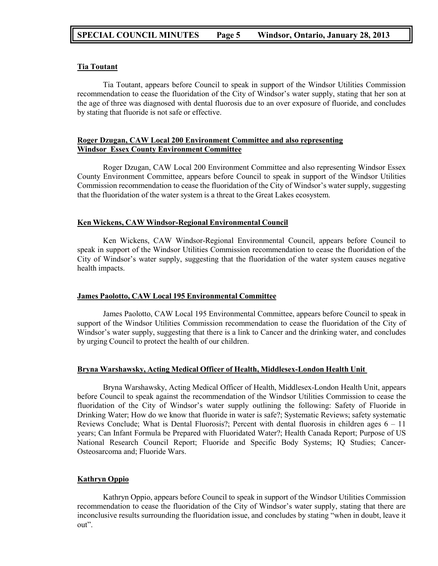## **Tia Toutant**

Tia Toutant, appears before Council to speak in support of the Windsor Utilities Commission recommendation to cease the fluoridation of the City of Windsor's water supply, stating that her son at the age of three was diagnosed with dental fluorosis due to an over exposure of fluoride, and concludes by stating that fluoride is not safe or effective.

## **Roger Dzugan, CAW Local 200 Environment Committee and also representing Windsor Essex County Environment Committee**

Roger Dzugan, CAW Local 200 Environment Committee and also representing Windsor Essex County Environment Committee, appears before Council to speak in support of the Windsor Utilities Commission recommendation to cease the fluoridation of the City of Windsor's water supply, suggesting that the fluoridation of the water system is a threat to the Great Lakes ecosystem.

## **Ken Wickens, CAW Windsor-Regional Environmental Council**

Ken Wickens, CAW Windsor-Regional Environmental Council, appears before Council to speak in support of the Windsor Utilities Commission recommendation to cease the fluoridation of the City of Windsor's water supply, suggesting that the fluoridation of the water system causes negative health impacts.

## **James Paolotto, CAW Local 195 Environmental Committee**

James Paolotto, CAW Local 195 Environmental Committee, appears before Council to speak in support of the Windsor Utilities Commission recommendation to cease the fluoridation of the City of Windsor's water supply, suggesting that there is a link to Cancer and the drinking water, and concludes by urging Council to protect the health of our children.

## **Bryna Warshawsky, Acting Medical Officer of Health, Middlesex-London Health Unit**

Bryna Warshawsky, Acting Medical Officer of Health, Middlesex-London Health Unit, appears before Council to speak against the recommendation of the Windsor Utilities Commission to cease the fluoridation of the City of Windsor's water supply outlining the following: Safety of Fluoride in Drinking Water; How do we know that fluoride in water is safe?; Systematic Reviews; safety systematic Reviews Conclude; What is Dental Fluorosis?; Percent with dental fluorosis in children ages  $6 - 11$ years; Can Infant Formula be Prepared with Fluoridated Water?; Health Canada Report; Purpose of US National Research Council Report; Fluoride and Specific Body Systems; IQ Studies; Cancer-Osteosarcoma and; Fluoride Wars.

## **Kathryn Oppio**

Kathryn Oppio, appears before Council to speak in support of the Windsor Utilities Commission recommendation to cease the fluoridation of the City of Windsor's water supply, stating that there are inconclusive results surrounding the fluoridation issue, and concludes by stating "when in doubt, leave it out".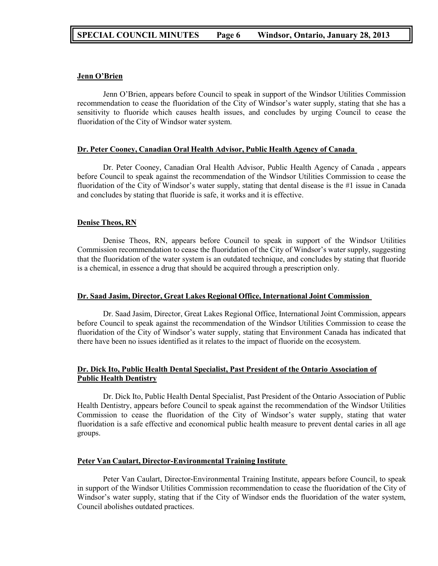#### **Jenn O'Brien**

Jenn O'Brien, appears before Council to speak in support of the Windsor Utilities Commission recommendation to cease the fluoridation of the City of Windsor's water supply, stating that she has a sensitivity to fluoride which causes health issues, and concludes by urging Council to cease the fluoridation of the City of Windsor water system.

#### **Dr. Peter Cooney, Canadian Oral Health Advisor, Public Health Agency of Canada**

Dr. Peter Cooney, Canadian Oral Health Advisor, Public Health Agency of Canada , appears before Council to speak against the recommendation of the Windsor Utilities Commission to cease the fluoridation of the City of Windsor's water supply, stating that dental disease is the #1 issue in Canada and concludes by stating that fluoride is safe, it works and it is effective.

#### **Denise Theos, RN**

Denise Theos, RN, appears before Council to speak in support of the Windsor Utilities Commission recommendation to cease the fluoridation of the City of Windsor's water supply, suggesting that the fluoridation of the water system is an outdated technique, and concludes by stating that fluoride is a chemical, in essence a drug that should be acquired through a prescription only.

#### **Dr. Saad Jasim, Director, Great Lakes Regional Office, International Joint Commission**

Dr. Saad Jasim, Director, Great Lakes Regional Office, International Joint Commission, appears before Council to speak against the recommendation of the Windsor Utilities Commission to cease the fluoridation of the City of Windsor's water supply, stating that Environment Canada has indicated that there have been no issues identified as it relates to the impact of fluoride on the ecosystem.

### **Dr. Dick Ito, Public Health Dental Specialist, Past President of the Ontario Association of Public Health Dentistry**

Dr. Dick Ito, Public Health Dental Specialist, Past President of the Ontario Association of Public Health Dentistry, appears before Council to speak against the recommendation of the Windsor Utilities Commission to cease the fluoridation of the City of Windsor's water supply, stating that water fluoridation is a safe effective and economical public health measure to prevent dental caries in all age groups.

#### **Peter Van Caulart, Director-Environmental Training Institute**

Peter Van Caulart, Director-Environmental Training Institute, appears before Council, to speak in support of the Windsor Utilities Commission recommendation to cease the fluoridation of the City of Windsor's water supply, stating that if the City of Windsor ends the fluoridation of the water system, Council abolishes outdated practices.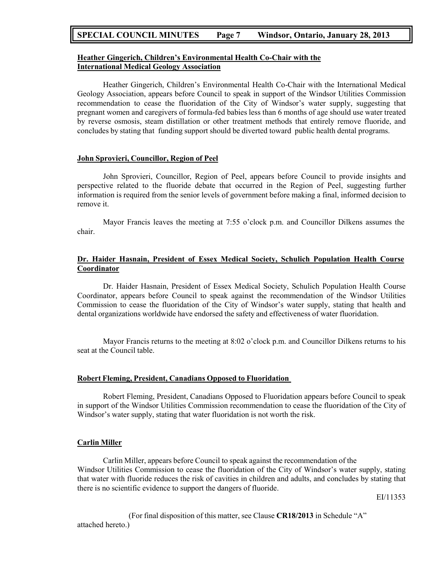## **SPECIAL COUNCIL MINUTES Page 7 Windsor, Ontario, January 28, 2013**

### **Heather Gingerich, Children's Environmental Health Co-Chair with the International Medical Geology Association**

Heather Gingerich, Children's Environmental Health Co-Chair with the International Medical Geology Association, appears before Council to speak in support of the Windsor Utilities Commission recommendation to cease the fluoridation of the City of Windsor's water supply, suggesting that pregnant women and caregivers of formula-fed babies less than 6 months of age should use water treated by reverse osmosis, steam distillation or other treatment methods that entirely remove fluoride, and concludes by stating that funding support should be diverted toward public health dental programs.

## **John Sprovieri, Councillor, Region of Peel**

John Sprovieri, Councillor, Region of Peel, appears before Council to provide insights and perspective related to the fluoride debate that occurred in the Region of Peel, suggesting further information is required from the senior levels of government before making a final, informed decision to remove it.

Mayor Francis leaves the meeting at 7:55 o'clock p.m. and Councillor Dilkens assumes the chair.

## **Dr. Haider Hasnain, President of Essex Medical Society, Schulich Population Health Course Coordinator**

Dr. Haider Hasnain, President of Essex Medical Society, Schulich Population Health Course Coordinator, appears before Council to speak against the recommendation of the Windsor Utilities Commission to cease the fluoridation of the City of Windsor's water supply, stating that health and dental organizations worldwide have endorsed the safety and effectiveness of water fluoridation.

Mayor Francis returns to the meeting at 8:02 o'clock p.m. and Councillor Dilkens returns to his seat at the Council table.

#### **Robert Fleming, President, Canadians Opposed to Fluoridation**

Robert Fleming, President, Canadians Opposed to Fluoridation appears before Council to speak in support of the Windsor Utilities Commission recommendation to cease the fluoridation of the City of Windsor's water supply, stating that water fluoridation is not worth the risk.

#### **Carlin Miller**

Carlin Miller, appears before Council to speak against the recommendation of the Windsor Utilities Commission to cease the fluoridation of the City of Windsor's water supply, stating that water with fluoride reduces the risk of cavities in children and adults, and concludes by stating that there is no scientific evidence to support the dangers of fluoride.

EI/11353

(For final disposition of this matter, see Clause **CR18/2013** in Schedule "A" attached hereto.)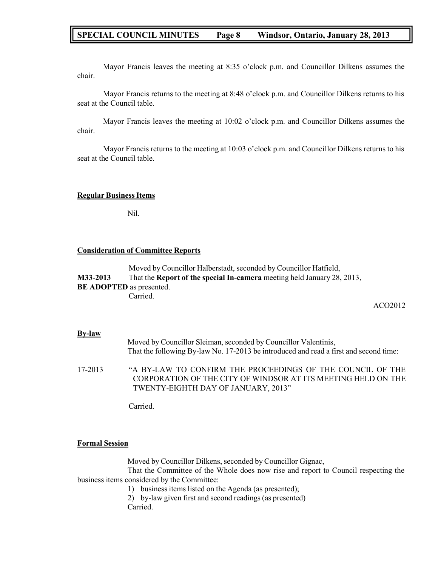## **SPECIAL COUNCIL MINUTES Page 8 Windsor, Ontario, January 28, 2013**

Mayor Francis leaves the meeting at 8:35 o'clock p.m. and Councillor Dilkens assumes the chair.

Mayor Francis returns to the meeting at 8:48 o'clock p.m. and Councillor Dilkens returns to his seat at the Council table.

Mayor Francis leaves the meeting at 10:02 o'clock p.m. and Councillor Dilkens assumes the chair.

Mayor Francis returns to the meeting at 10:03 o'clock p.m. and Councillor Dilkens returns to his seat at the Council table.

#### **Regular BusinessItems**

Nil.

#### **Consideration of Committee Reports**

Moved by Councillor Halberstadt, seconded by Councillor Hatfield, **M33-2013** That the **Report of the special In-camera** meeting held January 28, 2013, **BE ADOPTED** as presented. Carried.

ACO2012

#### **By-law**

| Moved by Councillor Sleiman, seconded by Councillor Valentinis,                       |  |
|---------------------------------------------------------------------------------------|--|
| That the following By-law No. 17-2013 be introduced and read a first and second time: |  |
|                                                                                       |  |

17-2013 "A BY-LAW TO CONFIRM THE PROCEEDINGS OF THE COUNCIL OF THE CORPORATION OF THE CITY OF WINDSOR AT ITS MEETING HELD ON THE TWENTY-EIGHTH DAY OF JANUARY, 2013"

Carried.

#### **Formal Session**

Moved by Councillor Dilkens, seconded by Councillor Gignac,

That the Committee of the Whole does now rise and report to Council respecting the business items considered by the Committee:

1) business items listed on the Agenda (as presented);

2) by-law given first and second readings (as presented) Carried.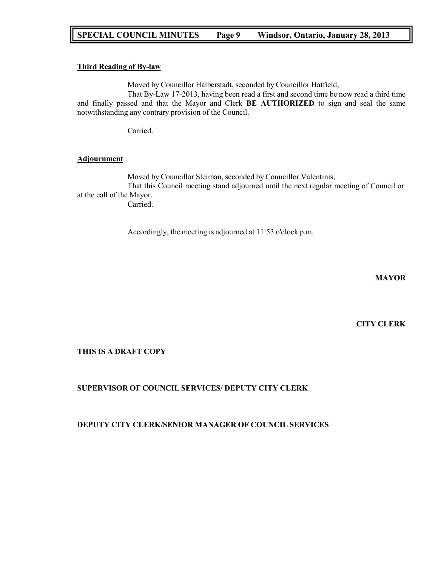## **SPECIAL COUNCIL MINUTES Page 9 Windsor, Ontario, January 28, 2013**

### **Third Reading of By-law**

Moved by Councillor Halberstadt, seconded by Councillor Hatfield,

That By-Law 17-2013, having been read a first and second time be now read a third time and finally passed and that the Mayor and Clerk **BE AUTHORIZED** to sign and seal the same notwithstanding any contrary provision of the Council.

Carried.

#### **Adjournment**

Moved by Councillor Sleiman, seconded by Councillor Valentinis, That this Council meeting stand adjourned until the next regular meeting of Council or at the call of the Mayor. Carried.

Accordingly, the meeting is adjourned at 11:53 o'clock p.m.

**MAYOR**

**CITY CLERK**

## **THIS IS A DRAFT COPY**

## **SUPERVISOR OF COUNCIL SERVICES/ DEPUTY CITY CLERK**

## **DEPUTY CITY CLERK/SENIOR MANAGER OF COUNCIL SERVICES**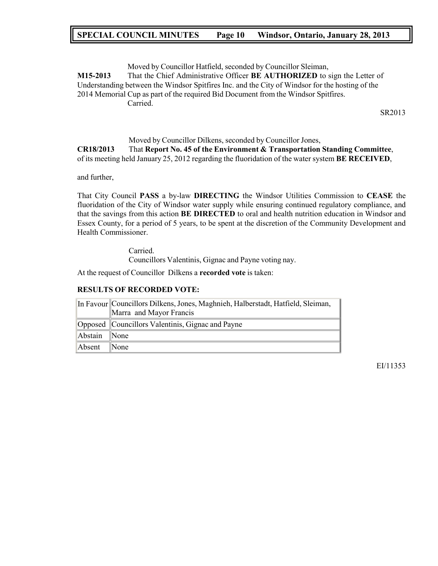## **SPECIAL COUNCIL MINUTES Page 10 Windsor, Ontario, January 28, 2013**

Moved by Councillor Hatfield, seconded by Councillor Sleiman, **M15-2013** That the Chief Administrative Officer **BE AUTHORIZED** to sign the Letter of Understanding between the Windsor Spitfires Inc. and the City of Windsor for the hosting of the 2014 Memorial Cup as part of the required Bid Document from the Windsor Spitfires. Carried.

SR2013

# Moved by Councillor Dilkens, seconded by Councillor Jones,

**CR18/2013** That **Report No. 45 of the Environment & Transportation Standing Committee**, of its meeting held January 25, 2012 regarding the fluoridation of the water system **BE RECEIVED**,

and further,

That City Council **PASS** a by-law **DIRECTING** the Windsor Utilities Commission to **CEASE** the fluoridation of the City of Windsor water supply while ensuring continued regulatory compliance, and that the savings from this action **BE DIRECTED** to oral and health nutrition education in Windsor and Essex County, for a period of 5 years, to be spent at the discretion of the Community Development and Health Commissioner.

> Carried. Councillors Valentinis, Gignac and Payne voting nay.

At the request of Councillor Dilkens a **recorded vote** is taken:

## **RESULTS OF RECORDED VOTE:**

|              | In Favour Councillors Dilkens, Jones, Maghnieh, Halberstadt, Hatfield, Sleiman, |  |  |
|--------------|---------------------------------------------------------------------------------|--|--|
|              | Marra and Mayor Francis                                                         |  |  |
|              | Opposed Councillors Valentinis, Gignac and Payne                                |  |  |
| Abstain None |                                                                                 |  |  |
| Absent       | $\mathbb{N}$ one                                                                |  |  |

EI/11353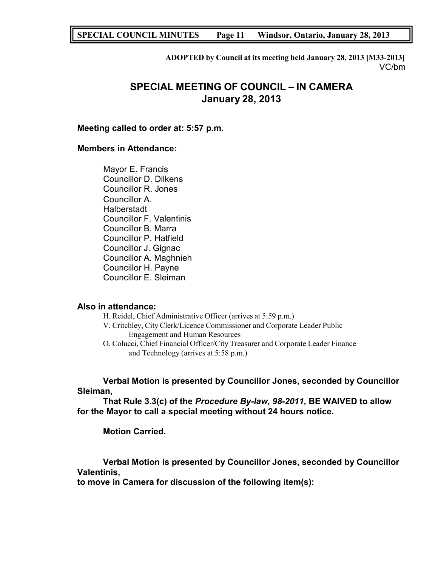## **SPECIAL COUNCIL MINUTES Page 11 Windsor, Ontario, January 28, 2013**

**ADOPTED by Council at its meeting held January 28, 2013 [M33-2013]** VC/bm

# **SPECIAL MEETING OF COUNCIL – IN CAMERA January 28, 2013**

## **Meeting called to order at: 5:57 p.m.**

## **Members in Attendance:**

Mayor E. Francis Councillor D. Dilkens Councillor R. Jones Councillor A. **Halberstadt** Councillor F. Valentinis Councillor B. Marra Councillor P. Hatfield Councillor J. Gignac Councillor A. Maghnieh Councillor H. Payne Councillor E. Sleiman

## **Also in attendance:**

- H. Reidel, Chief Administrative Officer (arrives at 5:59 p.m.)
- V. Critchley, City Clerk/Licence Commissioner and Corporate Leader Public Engagement and Human Resources
- O. Colucci, Chief Financial Officer/City Treasurer and Corporate Leader Finance and Technology (arrives at 5:58 p.m.)

**Verbal Motion is presented by Councillor Jones, seconded by Councillor Sleiman,**

**That Rule 3.3(c) of the** *Procedure By-law, 98-2011,* **BE WAIVED to allow for the Mayor to call a special meeting without 24 hours notice.**

**Motion Carried.**

**Verbal Motion is presented by Councillor Jones, seconded by Councillor Valentinis,**

**to move in Camera for discussion of the following item(s):**